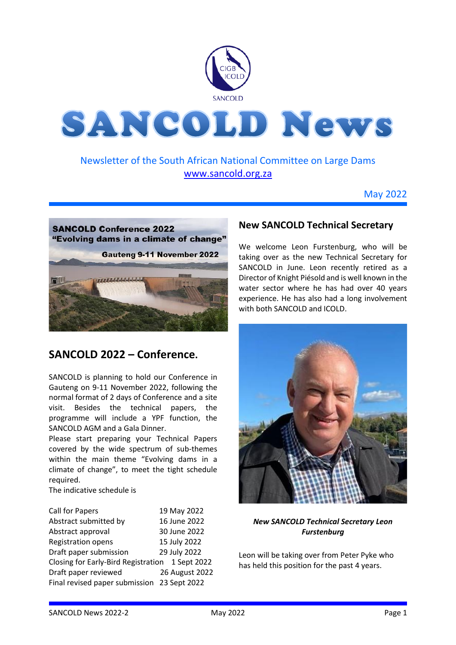

# Newsletter of the South African National Committee on Large Dams [www.sancold.org.za](http://www.sancold.org.za/)

May 2022



# **SANCOLD 2022 – Conference.**

SANCOLD is planning to hold our Conference in Gauteng on 9-11 November 2022, following the normal format of 2 days of Conference and a site visit. Besides the technical papers, the programme will include a YPF function, the SANCOLD AGM and a Gala Dinner.

Please start preparing your Technical Papers covered by the wide spectrum of sub-themes within the main theme "Evolving dams in a climate of change", to meet the tight schedule required.

The indicative schedule is

| Call for Papers                                 | 19 May 2022    |
|-------------------------------------------------|----------------|
| Abstract submitted by                           | 16 June 2022   |
| Abstract approval                               | 30 June 2022   |
| <b>Registration opens</b>                       | 15 July 2022   |
| Draft paper submission                          | 29 July 2022   |
| Closing for Early-Bird Registration 1 Sept 2022 |                |
| Draft paper reviewed                            | 26 August 2022 |
| Final revised paper submission 23 Sept 2022     |                |

# **New SANCOLD Technical Secretary**

We welcome Leon Furstenburg, who will be taking over as the new Technical Secretary for SANCOLD in June. Leon recently retired as a Director of Knight Piésold and is well known in the water sector where he has had over 40 years experience. He has also had a long involvement with both SANCOLD and ICOLD.



### *New SANCOLD Technical Secretary Leon Furstenburg*

Leon will be taking over from Peter Pyke who has held this position for the past 4 years.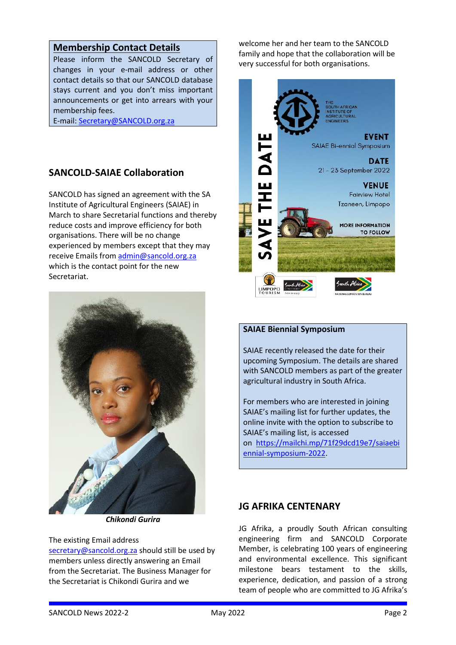### **Membership Contact Details**

Please inform the SANCOLD Secretary of changes in your e-mail address or other contact details so that our SANCOLD database stays current and you don't miss important announcements or get into arrears with your membership fees.

E-mail[: Secretary@SANCOLD.org.za](mailto:Secretary@SANCOLD.org.za)

# **SANCOLD-SAIAE Collaboration**

SANCOLD has signed an agreement with the SA Institute of Agricultural Engineers (SAIAE) in March to share Secretarial functions and thereby reduce costs and improve efficiency for both organisations. There will be no change experienced by members except that they may receive Emails from [admin@sancold.org.za](mailto:admin@sancold.org.za) which is the contact point for the new Secretariat.



*Chikondi Gurira*

The existing Email address [secretary@sancold.org.za](mailto:secretary@sancold.org.za) should still be used by members unless directly answering an Email from the Secretariat. The Business Manager for the Secretariat is Chikondi Gurira and we

welcome her and her team to the SANCOLD family and hope that the collaboration will be very successful for both organisations.



#### **SAIAE Biennial Symposium**

SAIAE recently released the date for their upcoming Symposium. The details are shared with SANCOLD members as part of the greater agricultural industry in South Africa.

For members who are interested in joining SAIAE's mailing list for further updates, the online invite with the option to subscribe to SAIAE's mailing list, is accessed on [https://mailchi.mp/71f29dcd19e7/saiaebi](https://mailchi.mp/71f29dcd19e7/saiaebiennial-symposium-2022) [ennial-symposium-2022.](https://mailchi.mp/71f29dcd19e7/saiaebiennial-symposium-2022)

### **JG AFRIKA CENTENARY**

JG Afrika, a proudly South African consulting engineering firm and SANCOLD Corporate Member, is celebrating 100 years of engineering and environmental excellence. This significant milestone bears testament to the skills, experience, dedication, and passion of a strong team of people who are committed to JG Afrika's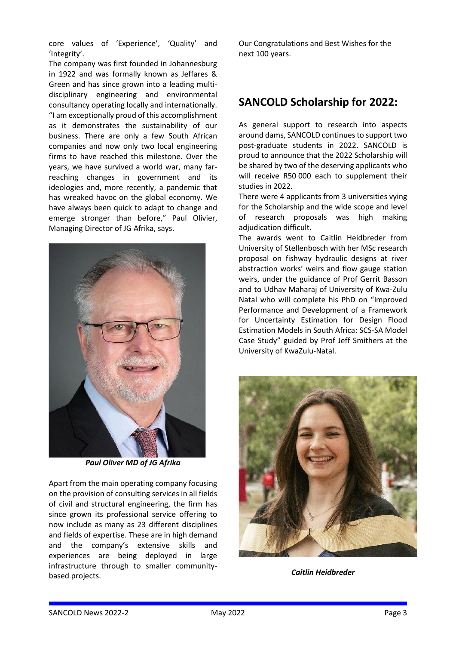core values of 'Experience', 'Quality' and 'Integrity'.

The company was first founded in Johannesburg in 1922 and was formally known as Jeffares & Green and has since grown into a leading multidisciplinary engineering and environmental consultancy operating locally and internationally. "I am exceptionally proud of this accomplishment as it demonstrates the sustainability of our business. There are only a few South African companies and now only two local engineering firms to have reached this milestone. Over the years, we have survived a world war, many farreaching changes in government and its ideologies and, more recently, a pandemic that has wreaked havoc on the global economy. We have always been quick to adapt to change and emerge stronger than before," Paul Olivier, Managing Director of JG Afrika, says.



*Paul Oliver MD of JG Afrika*

Apart from the main operating company focusing on the provision of consulting services in all fields of civil and structural engineering, the firm has since grown its professional service offering to now include as many as 23 different disciplines and fields of expertise. These are in high demand and the company's extensive skills and experiences are being deployed in large infrastructure through to smaller communitybased projects.

Our Congratulations and Best Wishes for the next 100 years.

# **SANCOLD Scholarship for 2022:**

As general support to research into aspects around dams, SANCOLD continues to support two post-graduate students in 2022. SANCOLD is proud to announce that the 2022 Scholarship will be shared by two of the deserving applicants who will receive R50 000 each to supplement their studies in 2022.

There were 4 applicants from 3 universities vying for the Scholarship and the wide scope and level of research proposals was high making adjudication difficult.

The awards went to Caitlin Heidbreder from University of Stellenbosch with her MSc research proposal on fishway hydraulic designs at river abstraction works' weirs and flow gauge station weirs, under the guidance of Prof Gerrit Basson and to Udhav Maharaj of University of Kwa-Zulu Natal who will complete his PhD on "Improved Performance and Development of a Framework for Uncertainty Estimation for Design Flood Estimation Models in South Africa: SCS-SA Model Case Study" guided by Prof Jeff Smithers at the University of KwaZulu-Natal.



*Caitlin Heidbreder*